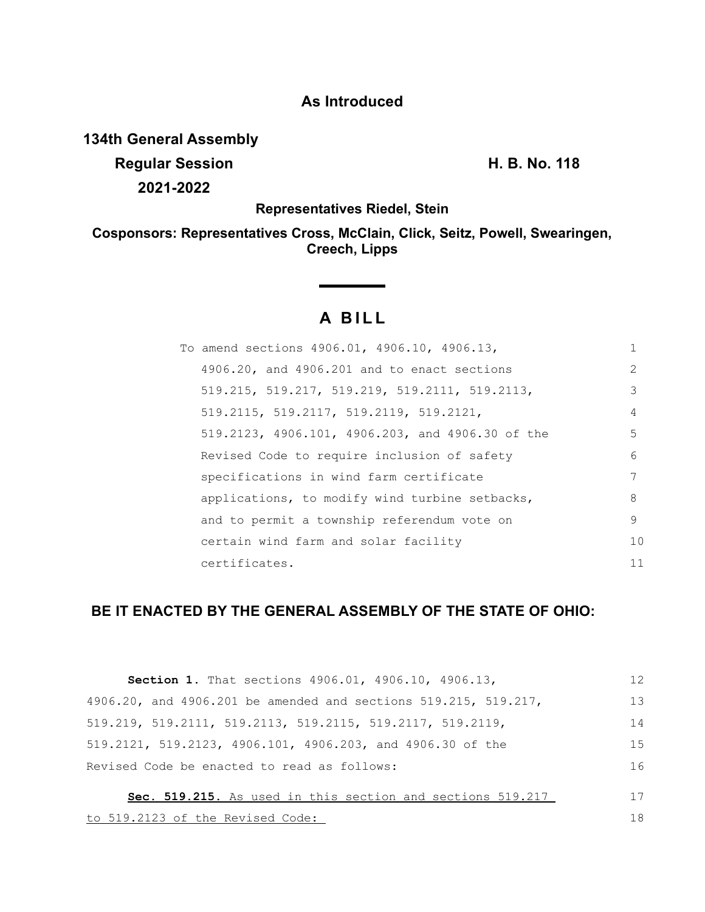## **As Introduced**

**134th General Assembly**

**Regular Session H. B. No. 118 2021-2022**

**Representatives Riedel, Stein**

**Cosponsors: Representatives Cross, McClain, Click, Seitz, Powell, Swearingen, Creech, Lipps**

# **A BILL**

| To amend sections 4906.01, 4906.10, 4906.13,     | 1             |
|--------------------------------------------------|---------------|
| 4906.20, and 4906.201 and to enact sections      | $\mathcal{L}$ |
| 519.215, 519.217, 519.219, 519.2111, 519.2113,   | 3             |
| 519.2115, 519.2117, 519.2119, 519.2121,          | 4             |
| 519.2123, 4906.101, 4906.203, and 4906.30 of the | 5             |
| Revised Code to require inclusion of safety      | 6             |
| specifications in wind farm certificate          | 7             |
| applications, to modify wind turbine setbacks,   | 8             |
| and to permit a township referendum vote on      | 9             |
| certain wind farm and solar facility             | 10            |
| certificates.                                    | 11            |

# **BE IT ENACTED BY THE GENERAL ASSEMBLY OF THE STATE OF OHIO:**

| Section 1. That sections 4906.01, 4906.10, 4906.13,             | 12 |
|-----------------------------------------------------------------|----|
| 4906.20, and 4906.201 be amended and sections 519.215, 519.217, | 13 |
| 519.219, 519.2111, 519.2113, 519.2115, 519.2117, 519.2119,      | 14 |
| 519.2121, 519.2123, 4906.101, 4906.203, and 4906.30 of the      | 15 |
| Revised Code be enacted to read as follows:                     | 16 |
| Sec. 519.215. As used in this section and sections 519.217      | 17 |
| to 519.2123 of the Revised Code:                                | 18 |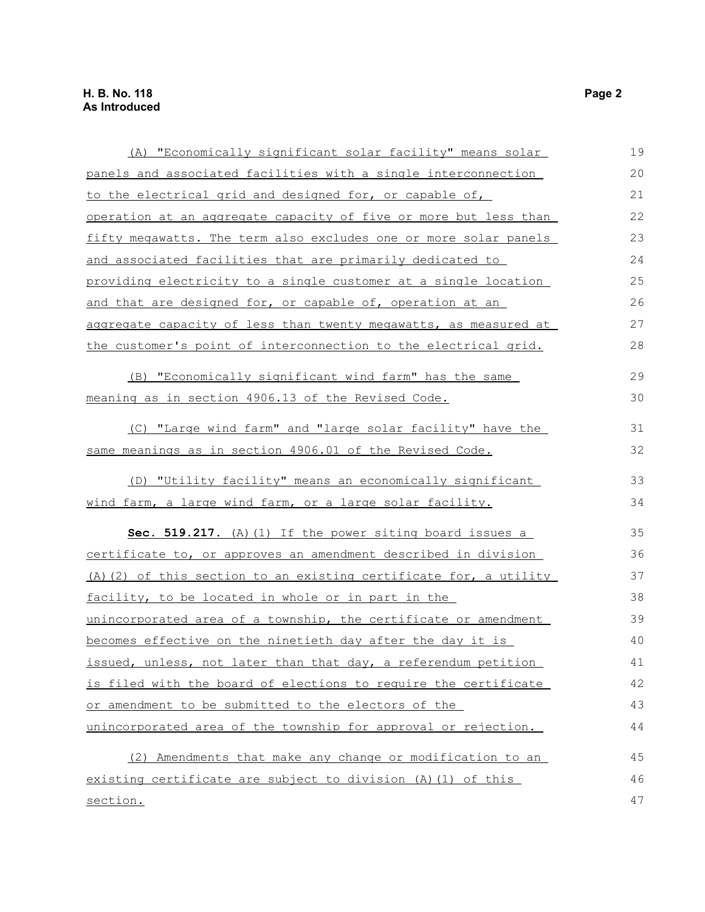| (A) "Economically significant solar facility" means solar         | 19 |
|-------------------------------------------------------------------|----|
| panels and associated facilities with a single interconnection    | 20 |
| to the electrical grid and designed for, or capable of,           | 21 |
| operation at an aggregate capacity of five or more but less than  | 22 |
| fifty megawatts. The term also excludes one or more solar panels  | 23 |
| and associated facilities that are primarily dedicated to         | 24 |
| providing electricity to a single customer at a single location   | 25 |
| and that are designed for, or capable of, operation at an         | 26 |
| aggregate capacity of less than twenty megawatts, as measured at  | 27 |
| the customer's point of interconnection to the electrical grid.   | 28 |
| (B) "Economically significant wind farm" has the same             | 29 |
| meaning as in section 4906.13 of the Revised Code.                | 30 |
| (C) "Large wind farm" and "large solar facility" have the         | 31 |
| same meanings as in section 4906.01 of the Revised Code.          | 32 |
| (D) "Utility facility" means an economically significant          | 33 |
| wind farm, a large wind farm, or a large solar facility.          | 34 |
| Sec. 519.217. (A) (1) If the power siting board issues a          | 35 |
| certificate to, or approves an amendment described in division    | 36 |
| (A) (2) of this section to an existing certificate for, a utility | 37 |
| facility, to be located in whole or in part in the                | 38 |
| unincorporated area of a township, the certificate or amendment   | 39 |
| becomes effective on the ninetieth day after the day it is        | 40 |
| issued, unless, not later than that day, a referendum petition    | 41 |
| is filed with the board of elections to require the certificate   | 42 |
| or amendment to be submitted to the electors of the               | 43 |
| unincorporated area of the township for approval or rejection.    | 44 |
| (2) Amendments that make any change or modification to an         | 45 |
| existing certificate are subject to division (A) (1) of this      | 46 |
| section.                                                          | 47 |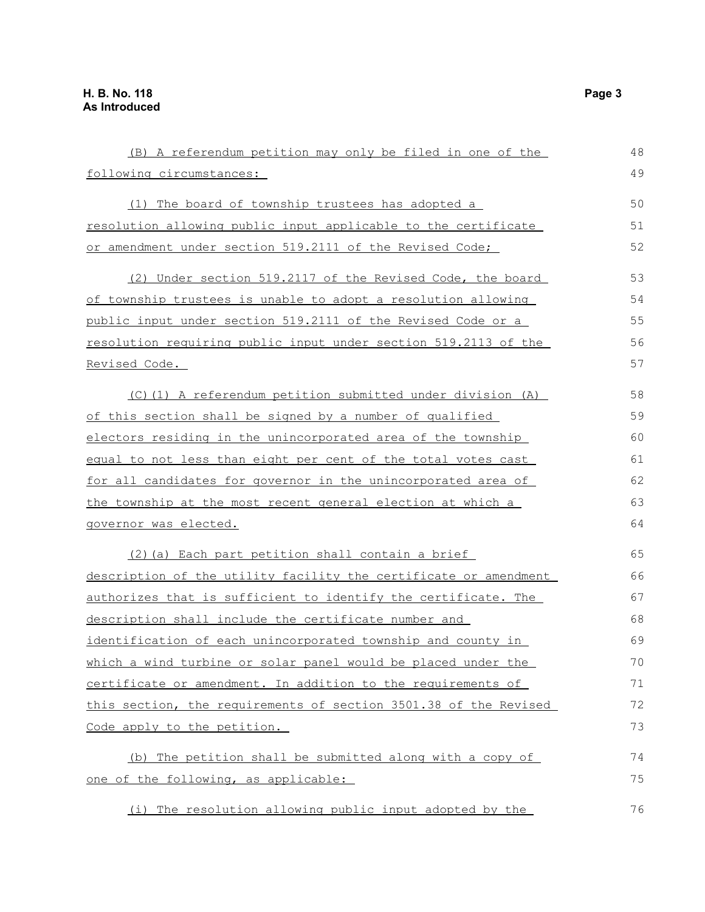| (B) A referendum petition may only be filed in one of the          | 48 |
|--------------------------------------------------------------------|----|
| following circumstances:                                           | 49 |
| (1) The board of township trustees has adopted a                   | 50 |
| resolution allowing public input applicable to the certificate     | 51 |
| or amendment under section 519.2111 of the Revised Code;           | 52 |
| (2) Under section 519.2117 of the Revised Code, the board          | 53 |
| of township trustees is unable to adopt a resolution allowing      | 54 |
| public input under section 519.2111 of the Revised Code or a       | 55 |
| resolution requiring public input under section 519.2113 of the    | 56 |
| Revised Code.                                                      | 57 |
| (C)(1) A referendum petition submitted under division (A)          | 58 |
| of this section shall be signed by a number of qualified           | 59 |
| electors residing in the unincorporated area of the township       | 60 |
| equal to not less than eight per cent of the total votes cast      | 61 |
| for all candidates for governor in the unincorporated area of      | 62 |
| <u>the township at the most recent general election at which a</u> | 63 |
| governor was elected.                                              | 64 |
| (2) (a) Each part petition shall contain a brief                   | 65 |
| description of the utility facility the certificate or amendment   | 66 |
| authorizes that is sufficient to identify the certificate. The     | 67 |
| description shall include the certificate number and               | 68 |
| identification of each unincorporated township and county in       | 69 |
| which a wind turbine or solar panel would be placed under the      | 70 |
| certificate or amendment. In addition to the requirements of       | 71 |
| this section, the requirements of section 3501.38 of the Revised   | 72 |
| Code apply to the petition.                                        | 73 |
| The petition shall be submitted along with a copy of<br>(b)        | 74 |
| one of the following, as applicable:                               | 75 |
| The resolution allowing public input adopted by the<br>(i)         | 76 |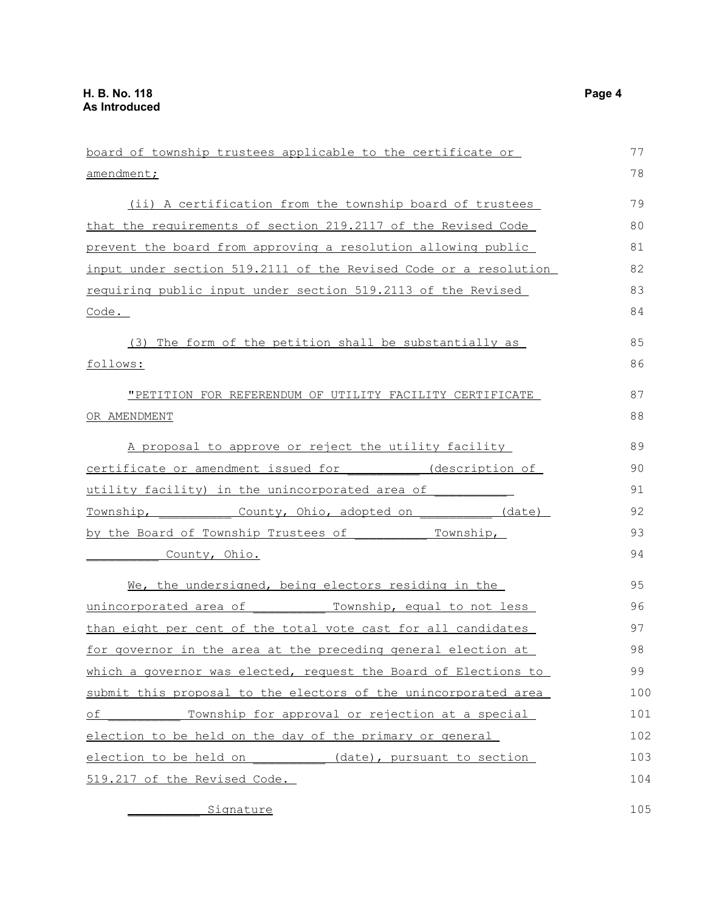board of township trustees applicable to the certificate or amendment; (ii) A certification from the township board of trustees that the requirements of section 219.2117 of the Revised Code prevent the board from approving a resolution allowing public input under section 519.2111 of the Revised Code or a resolution requiring public input under section 519.2113 of the Revised Code. (3) The form of the petition shall be substantially as follows: "PETITION FOR REFERENDUM OF UTILITY FACILITY CERTIFICATE OR AMENDMENT A proposal to approve or reject the utility facility certificate or amendment issued for \_\_\_\_\_\_\_\_\_\_ (description of utility facility) in the unincorporated area of Township, County, Ohio, adopted on (date) by the Board of Township Trustees of Township, County, Ohio. We, the undersigned, being electors residing in the unincorporated area of Township, equal to not less than eight per cent of the total vote cast for all candidates for governor in the area at the preceding general election at which a governor was elected, request the Board of Elections to submit this proposal to the electors of the unincorporated area of Township for approval or rejection at a special election to be held on the day of the primary or general election to be held on (date), pursuant to section 519.217 of the Revised Code. 77 78 79 80 81 82 83 84 85 86 87 88 89 90 91 92 93 94 95 96 97 98 99 100 101 102 103 104

Signature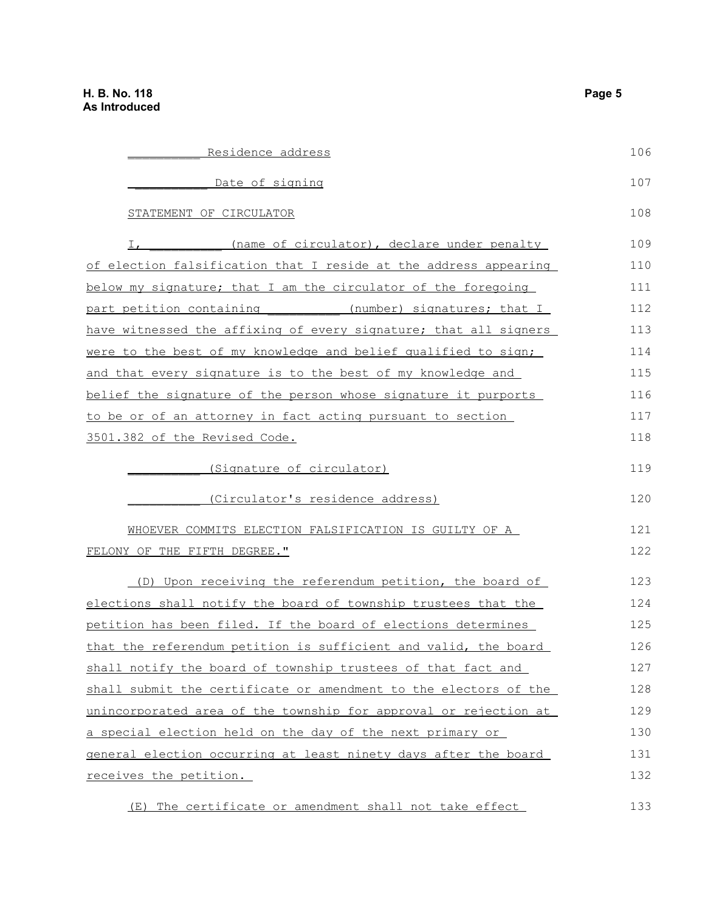| Residence address                                                       | 106 |
|-------------------------------------------------------------------------|-----|
| Date of signing                                                         | 107 |
| STATEMENT OF CIRCULATOR                                                 | 108 |
| (name of circulator), declare under penalty<br>Ι,                       | 109 |
| of election falsification that I reside at the address appearing        | 110 |
| below my signature; that I am the circulator of the foregoing           | 111 |
| part petition containing (number) signatures; that I                    | 112 |
| have witnessed the affixing of every signature; that all signers        | 113 |
| <u>were to the best of my knowledge and belief qualified to sign;</u>   | 114 |
| and that every signature is to the best of my knowledge and             | 115 |
| belief the signature of the person whose signature it purports          | 116 |
| to be or of an attorney in fact acting pursuant to section              | 117 |
| 3501.382 of the Revised Code.                                           | 118 |
|                                                                         |     |
| (Signature of circulator)                                               | 119 |
| (Circulator's residence address)                                        | 120 |
| WHOEVER COMMITS ELECTION FALSIFICATION IS GUILTY OF A                   | 121 |
| FELONY OF THE FIFTH DEGREE."                                            | 122 |
| (D) Upon receiving the referendum petition, the board of                | 123 |
| elections shall notify the board of township trustees that the          | 124 |
| petition has been filed. If the board of elections determines           | 125 |
| that the referendum petition is sufficient and valid, the board         | 126 |
| shall notify the board of township trustees of that fact and            | 127 |
| shall submit the certificate or amendment to the electors of the        | 128 |
| <u>unincorporated area of the township for approval or rejection at</u> | 129 |
| <u>a special election held on the day of the next primary or </u>       | 130 |
| <u>general election occurring at least ninety days after the board </u> | 131 |
| receives the petition.                                                  | 132 |
| (E) The certificate or amendment shall not take effect                  | 133 |
|                                                                         |     |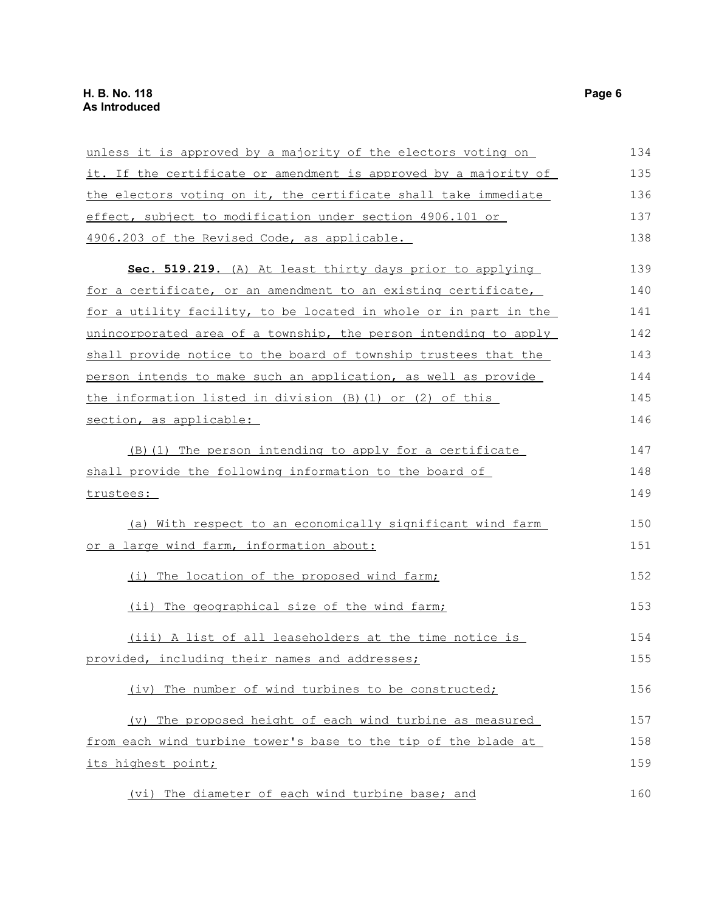| unless it is approved by a majority of the electors voting on    | 134 |
|------------------------------------------------------------------|-----|
| it. If the certificate or amendment is approved by a majority of | 135 |
| the electors voting on it, the certificate shall take immediate  | 136 |
| effect, subject to modification under section 4906.101 or        | 137 |
| 4906.203 of the Revised Code, as applicable.                     | 138 |
| Sec. 519.219. (A) At least thirty days prior to applying         | 139 |
| for a certificate, or an amendment to an existing certificate,   | 140 |
| for a utility facility, to be located in whole or in part in the | 141 |
| unincorporated area of a township, the person intending to apply | 142 |
| shall provide notice to the board of township trustees that the  | 143 |
| person intends to make such an application, as well as provide   | 144 |
| the information listed in division $(B) (1)$ or $(2)$ of this    | 145 |
| section, as applicable:                                          | 146 |
| (B) (1) The person intending to apply for a certificate          | 147 |
| shall provide the following information to the board of          | 148 |
| trustees:                                                        | 149 |
| (a) With respect to an economically significant wind farm        | 150 |
| or a large wind farm, information about:                         | 151 |
| (i) The location of the proposed wind farm;                      | 152 |
| (ii) The geographical size of the wind farm;                     | 153 |
| (iii) A list of all leaseholders at the time notice is           | 154 |
| provided, including their names and addresses;                   | 155 |
| (iv) The number of wind turbines to be constructed;              | 156 |
| (v) The proposed height of each wind turbine as measured         | 157 |
| from each wind turbine tower's base to the tip of the blade at   | 158 |
| its highest point;                                               | 159 |
| (vi) The diameter of each wind turbine base; and                 | 160 |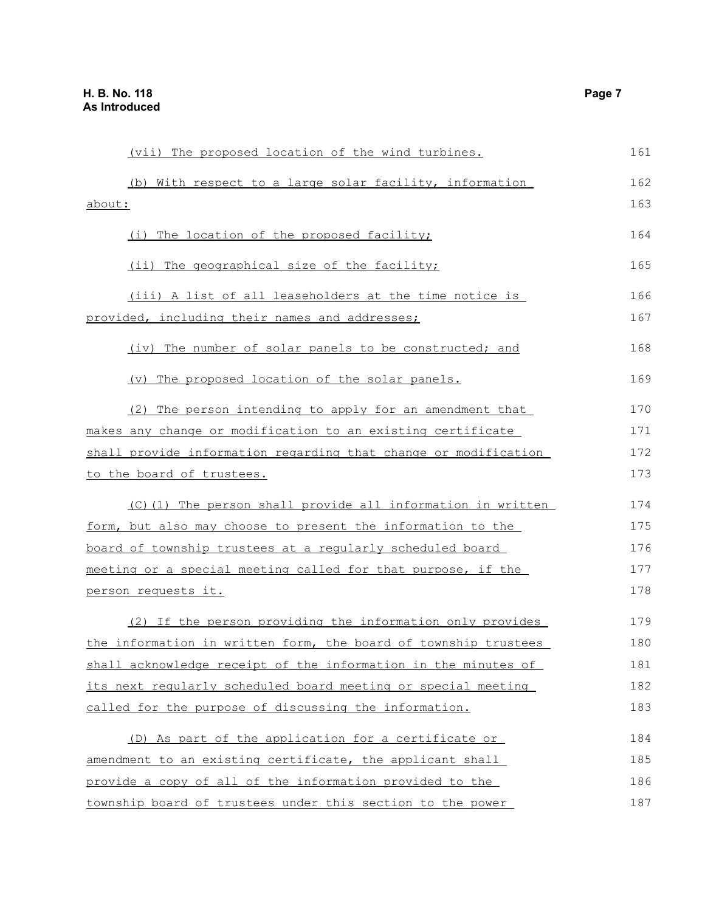| (vii) The proposed location of the wind turbines.               | 161 |
|-----------------------------------------------------------------|-----|
| (b) With respect to a large solar facility, information         | 162 |
| about:                                                          | 163 |
| (i) The location of the proposed facility;                      | 164 |
| (ii) The geographical size of the facility;                     | 165 |
| (iii) A list of all leaseholders at the time notice is          | 166 |
| provided, including their names and addresses;                  | 167 |
| (iv) The number of solar panels to be constructed; and          | 168 |
| (v) The proposed location of the solar panels.                  | 169 |
| (2) The person intending to apply for an amendment that         | 170 |
| makes any change or modification to an existing certificate     | 171 |
| shall provide information regarding that change or modification | 172 |
| to the board of trustees.                                       | 173 |
| (C)(1) The person shall provide all information in written      | 174 |
| form, but also may choose to present the information to the     | 175 |
| board of township trustees at a reqularly scheduled board       | 176 |
| meeting or a special meeting called for that purpose, if the    | 177 |
| person requests it.                                             | 178 |
| (2) If the person providing the information only provides       | 179 |
| the information in written form, the board of township trustees | 180 |
| shall acknowledge receipt of the information in the minutes of  | 181 |
| its next regularly scheduled board meeting or special meeting   | 182 |
| called for the purpose of discussing the information.           | 183 |
| (D) As part of the application for a certificate or             | 184 |
| amendment to an existing certificate, the applicant shall       | 185 |
| provide a copy of all of the information provided to the        | 186 |
| township board of trustees under this section to the power      | 187 |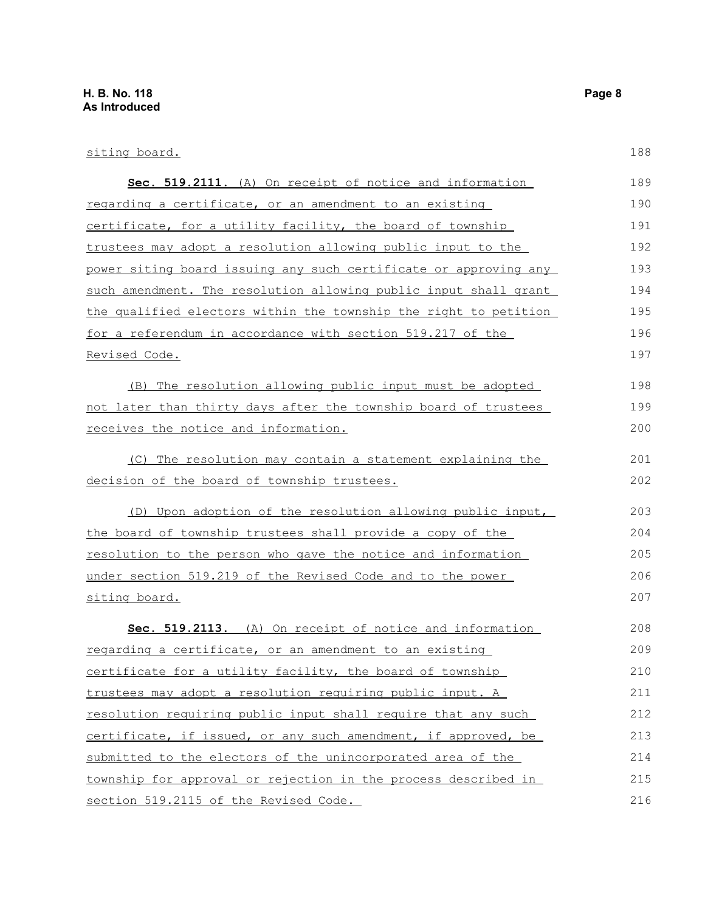188

### siting board. **Sec. 519.2111.** (A) On receipt of notice and information regarding a certificate, or an amendment to an existing certificate, for a utility facility, the board of township trustees may adopt a resolution allowing public input to the power siting board issuing any such certificate or approving any such amendment. The resolution allowing public input shall grant the qualified electors within the township the right to petition for a referendum in accordance with section 519.217 of the Revised Code. (B) The resolution allowing public input must be adopted not later than thirty days after the township board of trustees receives the notice and information. (C) The resolution may contain a statement explaining the decision of the board of township trustees. (D) Upon adoption of the resolution allowing public input, the board of township trustees shall provide a copy of the resolution to the person who gave the notice and information under section 519.219 of the Revised Code and to the power siting board. **Sec. 519.2113.** (A) On receipt of notice and information regarding a certificate, or an amendment to an existing certificate for a utility facility, the board of township trustees may adopt a resolution requiring public input. A resolution requiring public input shall require that any such certificate, if issued, or any such amendment, if approved, be submitted to the electors of the unincorporated area of the township for approval or rejection in the process described in section 519.2115 of the Revised Code. 189 190 191 192 193 194 195 196 197 198 199 200 201 202 203 204 205 206 207 208 209 210 211 212 213 214 215 216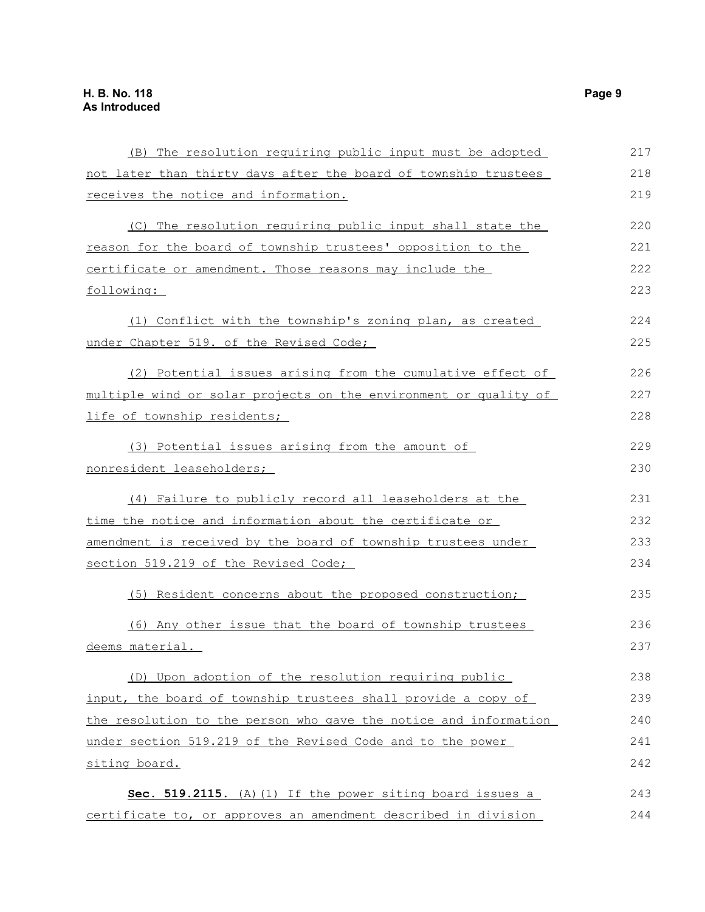| (B) The resolution requiring public input must be adopted        | 217 |
|------------------------------------------------------------------|-----|
| not later than thirty days after the board of township trustees  | 218 |
| receives the notice and information.                             | 219 |
| (C) The resolution requiring public input shall state the        | 220 |
| reason for the board of township trustees' opposition to the     | 221 |
| certificate or amendment. Those reasons may include the          | 222 |
| following:                                                       | 223 |
| (1) Conflict with the township's zoning plan, as created         | 224 |
| under Chapter 519. of the Revised Code;                          | 225 |
| (2) Potential issues arising from the cumulative effect of       | 226 |
| multiple wind or solar projects on the environment or quality of | 227 |
| life of township residents;                                      | 228 |
| (3) Potential issues arising from the amount of                  | 229 |
| nonresident leaseholders;                                        | 230 |
| (4) Failure to publicly record all leaseholders at the           | 231 |
| time the notice and information about the certificate or         | 232 |
| amendment is received by the board of township trustees under    | 233 |
| section 519.219 of the Revised Code;                             | 234 |
| (5) Resident concerns about the proposed construction;           | 235 |
| (6) Any other issue that the board of township trustees          | 236 |
| deems material.                                                  | 237 |
| (D) Upon adoption of the resolution requiring public             | 238 |
| input, the board of township trustees shall provide a copy of    | 239 |
| the resolution to the person who gave the notice and information | 240 |
| under section 519.219 of the Revised Code and to the power       | 241 |
| siting board.                                                    | 242 |
| Sec. 519.2115. (A) (1) If the power siting board issues a        | 243 |
| certificate to, or approves an amendment described in division   | 244 |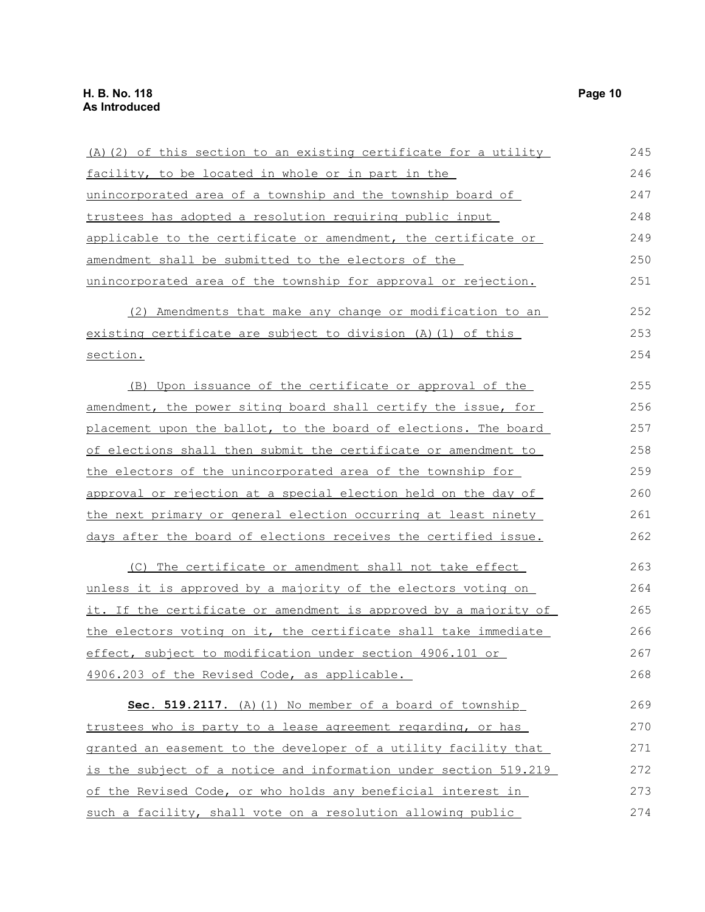| (A) (2) of this section to an existing certificate for a utility | 245 |
|------------------------------------------------------------------|-----|
| facility, to be located in whole or in part in the               | 246 |
| unincorporated area of a township and the township board of      | 247 |
| trustees has adopted a resolution requiring public input         | 248 |
| applicable to the certificate or amendment, the certificate or   | 249 |
| amendment shall be submitted to the electors of the              | 250 |
| unincorporated area of the township for approval or rejection.   | 251 |
| (2) Amendments that make any change or modification to an        | 252 |
| existing certificate are subject to division (A) (1) of this     | 253 |
| section.                                                         | 254 |
| (B) Upon issuance of the certificate or approval of the          | 255 |
| amendment, the power siting board shall certify the issue, for   | 256 |
| placement upon the ballot, to the board of elections. The board  | 257 |
| of elections shall then submit the certificate or amendment to   | 258 |
| the electors of the unincorporated area of the township for      | 259 |
| approval or rejection at a special election held on the day of   | 260 |
| the next primary or general election occurring at least ninety   | 261 |
| days after the board of elections receives the certified issue.  | 262 |
| (C) The certificate or amendment shall not take effect           | 263 |
| unless it is approved by a majority of the electors voting on    | 264 |
| it. If the certificate or amendment is approved by a majority of | 265 |
| the electors voting on it, the certificate shall take immediate  | 266 |
| effect, subject to modification under section 4906.101 or        | 267 |
| 4906.203 of the Revised Code, as applicable.                     | 268 |
| Sec. 519.2117. (A) (1) No member of a board of township          | 269 |
| trustees who is party to a lease agreement regarding, or has     | 270 |
| granted an easement to the developer of a utility facility that  | 271 |
| is the subject of a notice and information under section 519.219 | 272 |
| of the Revised Code, or who holds any beneficial interest in     | 273 |
| such a facility, shall vote on a resolution allowing public      | 274 |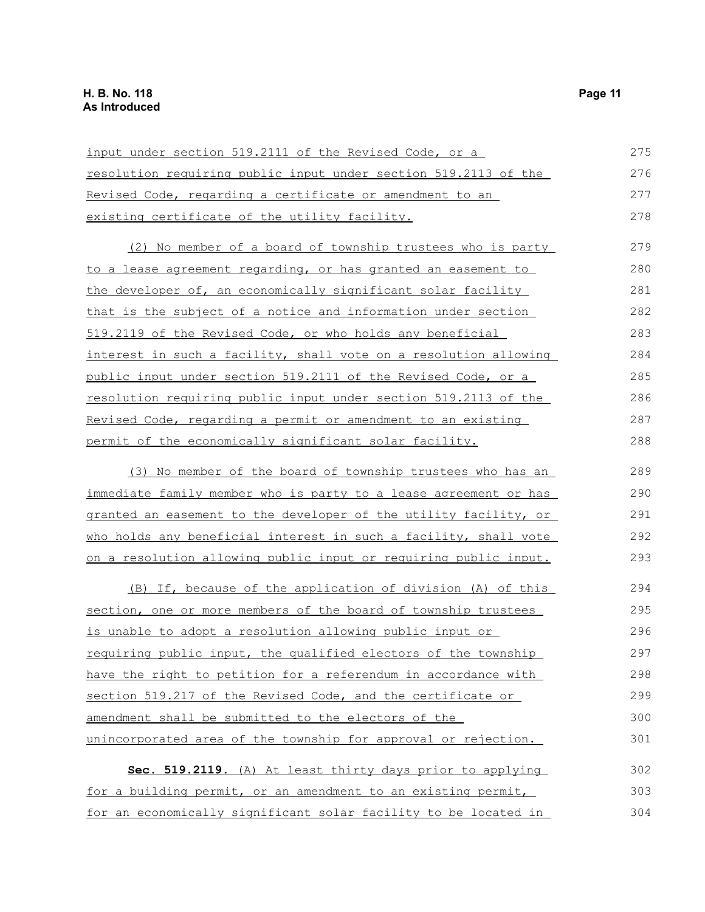| input under section 519.2111 of the Revised Code, or a                 | 275 |
|------------------------------------------------------------------------|-----|
| <u>resolution requiring public input under section 519.2113 of the</u> | 276 |
| Revised Code, regarding a certificate or amendment to an               | 277 |
| existing certificate of the utility facility.                          | 278 |
| (2) No member of a board of township trustees who is party             | 279 |
| to a lease agreement regarding, or has granted an easement to          | 280 |
| the developer of, an economically significant solar facility           | 281 |
| that is the subject of a notice and information under section          | 282 |
| 519.2119 of the Revised Code, or who holds any beneficial              | 283 |
| interest in such a facility, shall vote on a resolution allowing       | 284 |
| public input under section 519.2111 of the Revised Code, or a          | 285 |
| <u>resolution requiring public input under section 519.2113 of the</u> | 286 |
| Revised Code, regarding a permit or amendment to an existing           | 287 |
| permit of the economically significant solar facility.                 | 288 |
| (3) No member of the board of township trustees who has an             | 289 |
| immediate family member who is party to a lease agreement or has       | 290 |
| granted an easement to the developer of the utility facility, or       | 291 |
| who holds any beneficial interest in such a facility, shall vote       | 292 |
| on a resolution allowing public input or requiring public input.       | 293 |
| (B) If, because of the application of division (A) of this             | 294 |
| section, one or more members of the board of township trustees         | 295 |
| is unable to adopt a resolution allowing public input or               | 296 |
| requiring public input, the qualified electors of the township         | 297 |
| have the right to petition for a referendum in accordance with         | 298 |
| section 519.217 of the Revised Code, and the certificate or            | 299 |
| amendment shall be submitted to the electors of the                    | 300 |
| unincorporated area of the township for approval or rejection.         | 301 |
| Sec. 519.2119. (A) At least thirty days prior to applying              | 302 |
| for a building permit, or an amendment to an existing permit,          | 303 |
| for an economically significant solar facility to be located in        | 304 |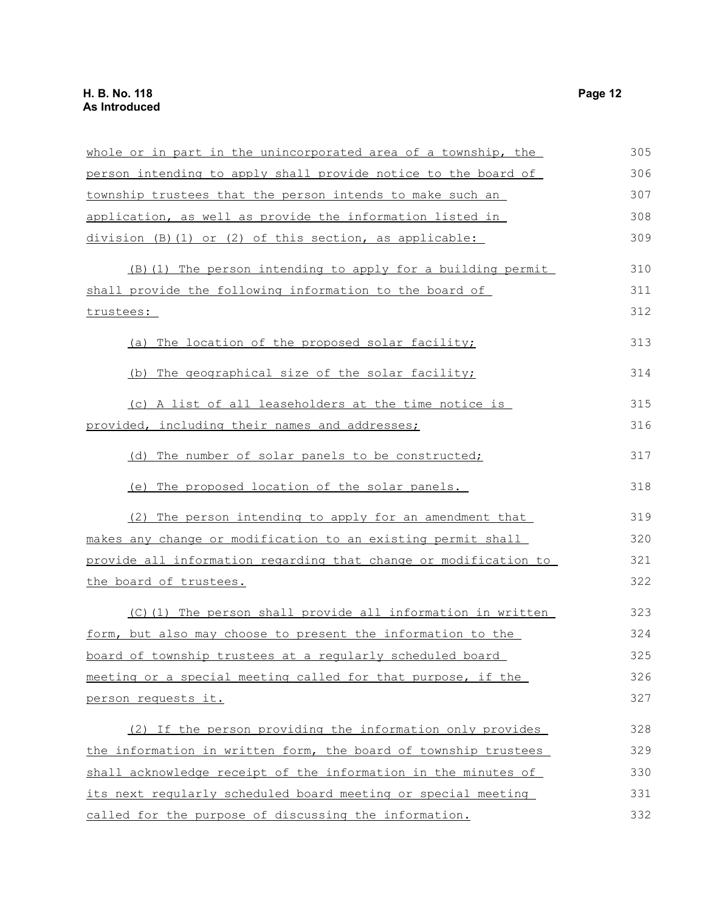| whole or in part in the unincorporated area of a township, the   | 305 |
|------------------------------------------------------------------|-----|
| person intending to apply shall provide notice to the board of   | 306 |
| township trustees that the person intends to make such an        | 307 |
| application, as well as provide the information listed in        | 308 |
| $division$ (B)(1) or (2) of this section, as applicable:         | 309 |
| (B) (1) The person intending to apply for a building permit      | 310 |
| shall provide the following information to the board of          | 311 |
| trustees:                                                        | 312 |
| (a) The location of the proposed solar facility;                 | 313 |
| (b) The geographical size of the solar facility;                 | 314 |
| (c) A list of all leaseholders at the time notice is             | 315 |
| provided, including their names and addresses;                   | 316 |
| (d) The number of solar panels to be constructed;                | 317 |
| (e) The proposed location of the solar panels.                   | 318 |
| (2) The person intending to apply for an amendment that          | 319 |
| makes any change or modification to an existing permit shall     | 320 |
| provide all information regarding that change or modification to | 321 |
| the board of trustees.                                           | 322 |
| (C)(1) The person shall provide all information in written       | 323 |
| form, but also may choose to present the information to the      | 324 |
| board of township trustees at a reqularly scheduled board        | 325 |
| meeting or a special meeting called for that purpose, if the     | 326 |
| person requests it.                                              | 327 |
| (2) If the person providing the information only provides        | 328 |
| the information in written form, the board of township trustees  | 329 |
| shall acknowledge receipt of the information in the minutes of   | 330 |
| its next regularly scheduled board meeting or special meeting    | 331 |
| called for the purpose of discussing the information.            | 332 |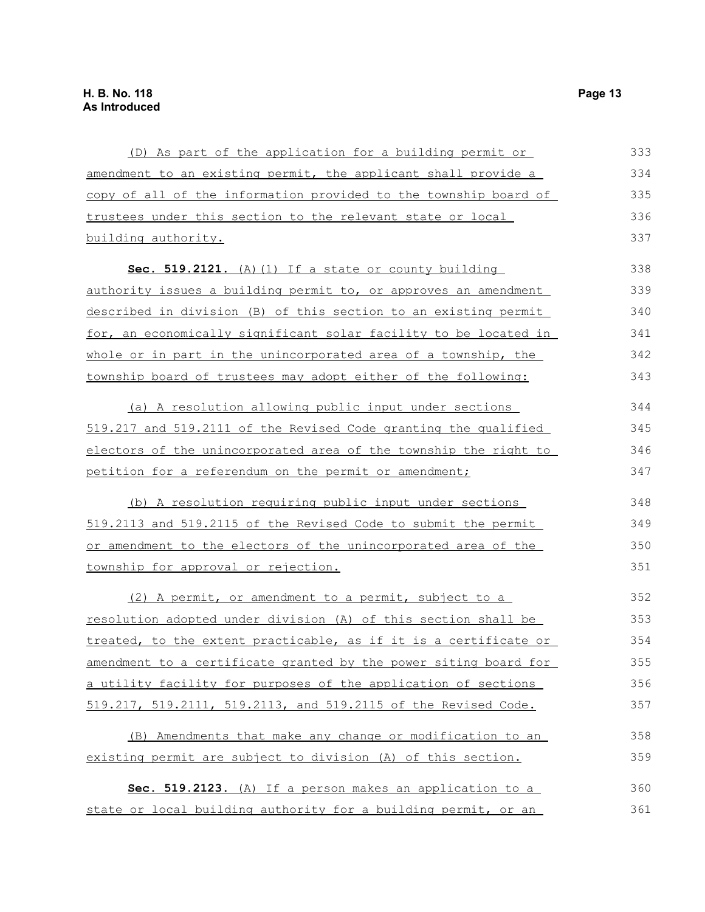| (D) As part of the application for a building permit or          | 333 |
|------------------------------------------------------------------|-----|
| amendment to an existing permit, the applicant shall provide a   | 334 |
| copy of all of the information provided to the township board of | 335 |
| trustees under this section to the relevant state or local       | 336 |
| building authority.                                              | 337 |
| Sec. 519.2121. $(A) (1)$ If a state or county building           | 338 |
| authority issues a building permit to, or approves an amendment  | 339 |
| described in division (B) of this section to an existing permit  | 340 |
| for, an economically significant solar facility to be located in | 341 |
| whole or in part in the unincorporated area of a township, the   | 342 |
| township board of trustees may adopt either of the following:    | 343 |
| (a) A resolution allowing public input under sections            | 344 |
| 519.217 and 519.2111 of the Revised Code granting the qualified  | 345 |
| electors of the unincorporated area of the township the right to | 346 |
| petition for a referendum on the permit or amendment;            | 347 |
| (b) A resolution requiring public input under sections           | 348 |
| 519.2113 and 519.2115 of the Revised Code to submit the permit   | 349 |
| or amendment to the electors of the unincorporated area of the   | 350 |
| township for approval or rejection.                              | 351 |
| (2) A permit, or amendment to a permit, subject to a             | 352 |
| resolution adopted under division (A) of this section shall be   | 353 |
| treated, to the extent practicable, as if it is a certificate or | 354 |
| amendment to a certificate granted by the power siting board for | 355 |
| a utility facility for purposes of the application of sections   | 356 |
| 519.217, 519.2111, 519.2113, and 519.2115 of the Revised Code.   | 357 |
| (B) Amendments that make any change or modification to an        | 358 |
| existing permit are subject to division (A) of this section.     | 359 |
| Sec. 519.2123. (A) If a person makes an application to a         | 360 |
| state or local building authority for a building permit, or an   | 361 |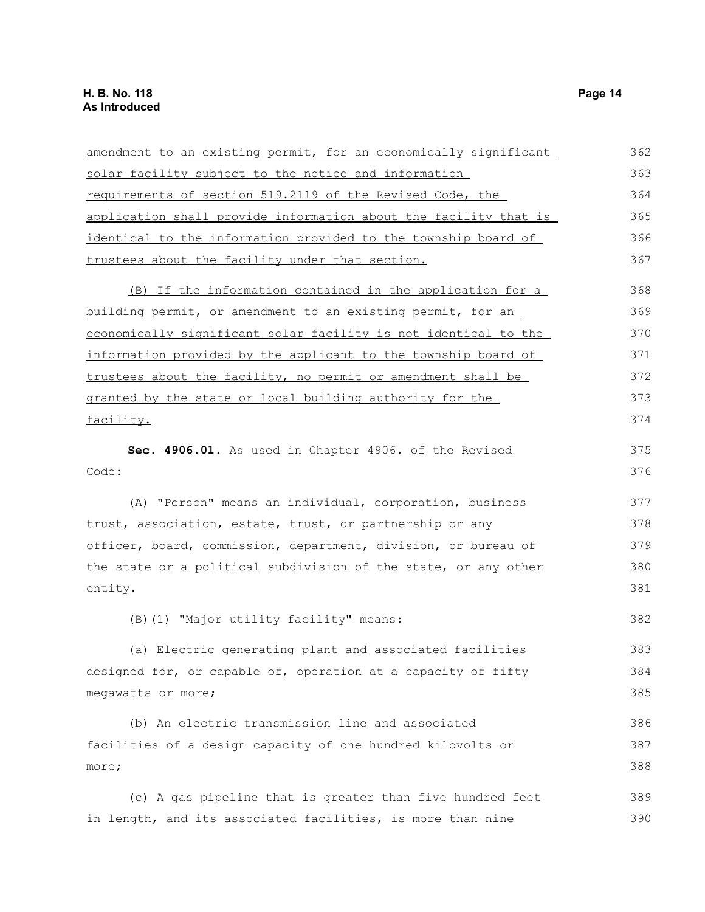| amendment to an existing permit, for an economically significant | 362 |
|------------------------------------------------------------------|-----|
| solar facility subject to the notice and information             | 363 |
| requirements of section 519.2119 of the Revised Code, the        | 364 |
| application shall provide information about the facility that is | 365 |
| identical to the information provided to the township board of   | 366 |
| trustees about the facility under that section.                  | 367 |
| (B) If the information contained in the application for a        | 368 |
| building permit, or amendment to an existing permit, for an      | 369 |
| economically significant solar facility is not identical to the  | 370 |
| information provided by the applicant to the township board of   | 371 |
| trustees about the facility, no permit or amendment shall be     | 372 |
| granted by the state or local building authority for the         | 373 |
| facility.                                                        | 374 |
| Sec. 4906.01. As used in Chapter 4906. of the Revised            | 375 |
| Code:                                                            | 376 |
| (A) "Person" means an individual, corporation, business          | 377 |
| trust, association, estate, trust, or partnership or any         | 378 |
| officer, board, commission, department, division, or bureau of   | 379 |
| the state or a political subdivision of the state, or any other  | 380 |
| entity.                                                          | 381 |
| (B) (1) "Major utility facility" means:                          | 382 |
| (a) Electric generating plant and associated facilities          | 383 |
| designed for, or capable of, operation at a capacity of fifty    | 384 |
| megawatts or more;                                               | 385 |
| (b) An electric transmission line and associated                 | 386 |
| facilities of a design capacity of one hundred kilovolts or      | 387 |
| more;                                                            | 388 |
| (c) A gas pipeline that is greater than five hundred feet        | 389 |
| in length, and its associated facilities, is more than nine      | 390 |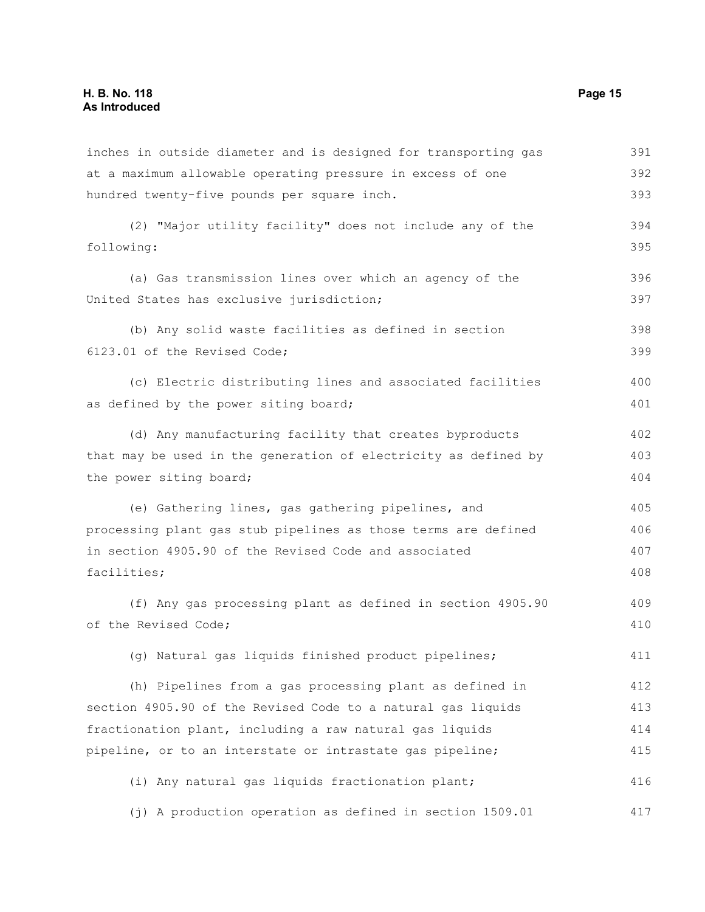inches in outside diameter and is designed for transporting gas at a maximum allowable operating pressure in excess of one hundred twenty-five pounds per square inch. (2) "Major utility facility" does not include any of the following: (a) Gas transmission lines over which an agency of the United States has exclusive jurisdiction; (b) Any solid waste facilities as defined in section 6123.01 of the Revised Code; (c) Electric distributing lines and associated facilities as defined by the power siting board; (d) Any manufacturing facility that creates byproducts that may be used in the generation of electricity as defined by the power siting board; (e) Gathering lines, gas gathering pipelines, and processing plant gas stub pipelines as those terms are defined in section 4905.90 of the Revised Code and associated facilities; (f) Any gas processing plant as defined in section 4905.90 of the Revised Code; (g) Natural gas liquids finished product pipelines; (h) Pipelines from a gas processing plant as defined in section 4905.90 of the Revised Code to a natural gas liquids fractionation plant, including a raw natural gas liquids pipeline, or to an interstate or intrastate gas pipeline; (i) Any natural gas liquids fractionation plant; (j) A production operation as defined in section 1509.01 391 392 393 394 395 396 397 398 399 400 401 402 403 404 405 406 407 408 409 410 411 412 413 414 415 416 417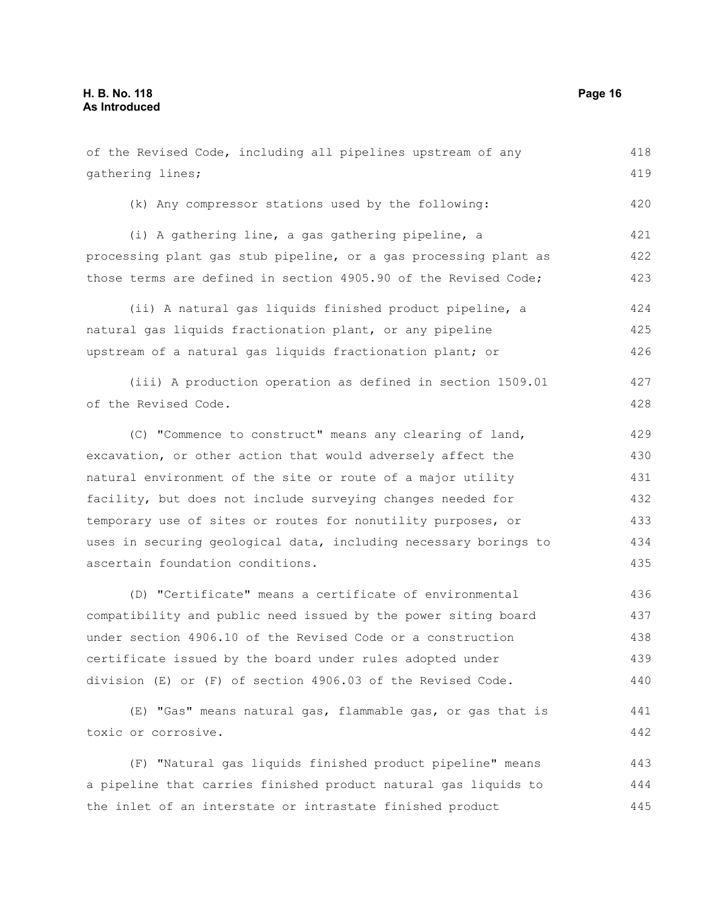of the Revised Code, including all pipelines upstream of any gathering lines; (k) Any compressor stations used by the following: (i) A gathering line, a gas gathering pipeline, a processing plant gas stub pipeline, or a gas processing plant as those terms are defined in section 4905.90 of the Revised Code; (ii) A natural gas liquids finished product pipeline, a natural gas liquids fractionation plant, or any pipeline upstream of a natural gas liquids fractionation plant; or (iii) A production operation as defined in section 1509.01 of the Revised Code. (C) "Commence to construct" means any clearing of land, excavation, or other action that would adversely affect the natural environment of the site or route of a major utility facility, but does not include surveying changes needed for temporary use of sites or routes for nonutility purposes, or uses in securing geological data, including necessary borings to ascertain foundation conditions. (D) "Certificate" means a certificate of environmental compatibility and public need issued by the power siting board under section 4906.10 of the Revised Code or a construction certificate issued by the board under rules adopted under division (E) or (F) of section 4906.03 of the Revised Code. (E) "Gas" means natural gas, flammable gas, or gas that is toxic or corrosive. 418 419 420 421 422 423 424 425 426 427 428 429 430 431 432 433 434 435 436 437 438 439 440 441 442

(F) "Natural gas liquids finished product pipeline" means a pipeline that carries finished product natural gas liquids to the inlet of an interstate or intrastate finished product 443 444 445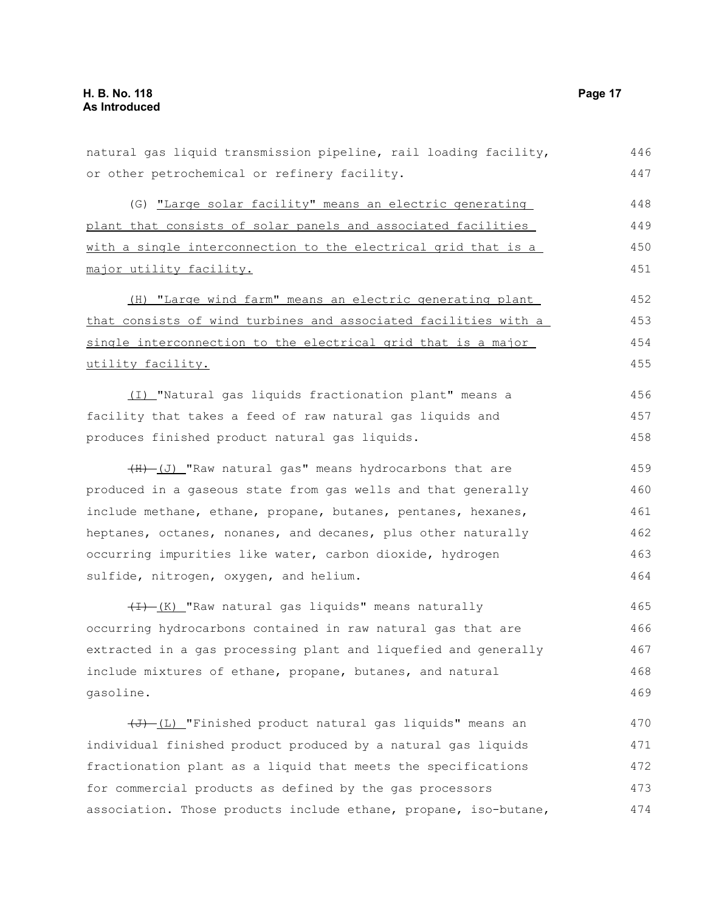natural gas liquid transmission pipeline, rail loading facility, or other petrochemical or refinery facility. (G) "Large solar facility" means an electric generating plant that consists of solar panels and associated facilities with a single interconnection to the electrical grid that is a major utility facility. (H) "Large wind farm" means an electric generating plant that consists of wind turbines and associated facilities with a single interconnection to the electrical grid that is a major utility facility. (I) "Natural gas liquids fractionation plant" means a facility that takes a feed of raw natural gas liquids and produces finished product natural gas liquids. (H) (J) "Raw natural gas" means hydrocarbons that are produced in a gaseous state from gas wells and that generally include methane, ethane, propane, butanes, pentanes, hexanes, heptanes, octanes, nonanes, and decanes, plus other naturally occurring impurities like water, carbon dioxide, hydrogen sulfide, nitrogen, oxygen, and helium. (I) (K) "Raw natural gas liquids" means naturally occurring hydrocarbons contained in raw natural gas that are extracted in a gas processing plant and liquefied and generally include mixtures of ethane, propane, butanes, and natural gasoline.  $(\overline{J})$  (L) "Finished product natural gas liquids" means an individual finished product produced by a natural gas liquids fractionation plant as a liquid that meets the specifications for commercial products as defined by the gas processors association. Those products include ethane, propane, iso-butane, 446 447 448 449 450 451 452 453 454 455 456 457 458 459 460 461 462 463 464 465 466 467 468 469 470 471 472 473 474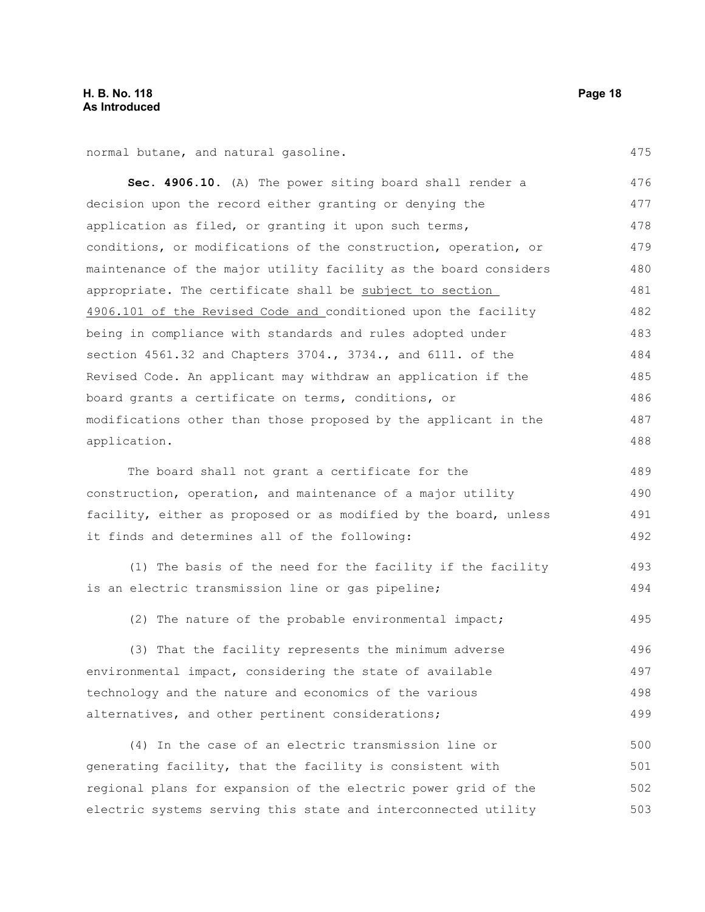normal butane, and natural gasoline.

**Sec. 4906.10.** (A) The power siting board shall render a decision upon the record either granting or denying the application as filed, or granting it upon such terms, conditions, or modifications of the construction, operation, or maintenance of the major utility facility as the board considers appropriate. The certificate shall be subject to section 4906.101 of the Revised Code and conditioned upon the facility being in compliance with standards and rules adopted under section 4561.32 and Chapters 3704., 3734., and 6111. of the Revised Code. An applicant may withdraw an application if the board grants a certificate on terms, conditions, or modifications other than those proposed by the applicant in the application. 476 477 478 479 480 481 482 483 484 485 486 487 488

The board shall not grant a certificate for the construction, operation, and maintenance of a major utility facility, either as proposed or as modified by the board, unless it finds and determines all of the following: 489 490 491 492

(1) The basis of the need for the facility if the facility is an electric transmission line or gas pipeline; 493 494

(2) The nature of the probable environmental impact; 495

(3) That the facility represents the minimum adverse environmental impact, considering the state of available technology and the nature and economics of the various alternatives, and other pertinent considerations; 496 497 498 499

(4) In the case of an electric transmission line or generating facility, that the facility is consistent with regional plans for expansion of the electric power grid of the electric systems serving this state and interconnected utility 500 501 502 503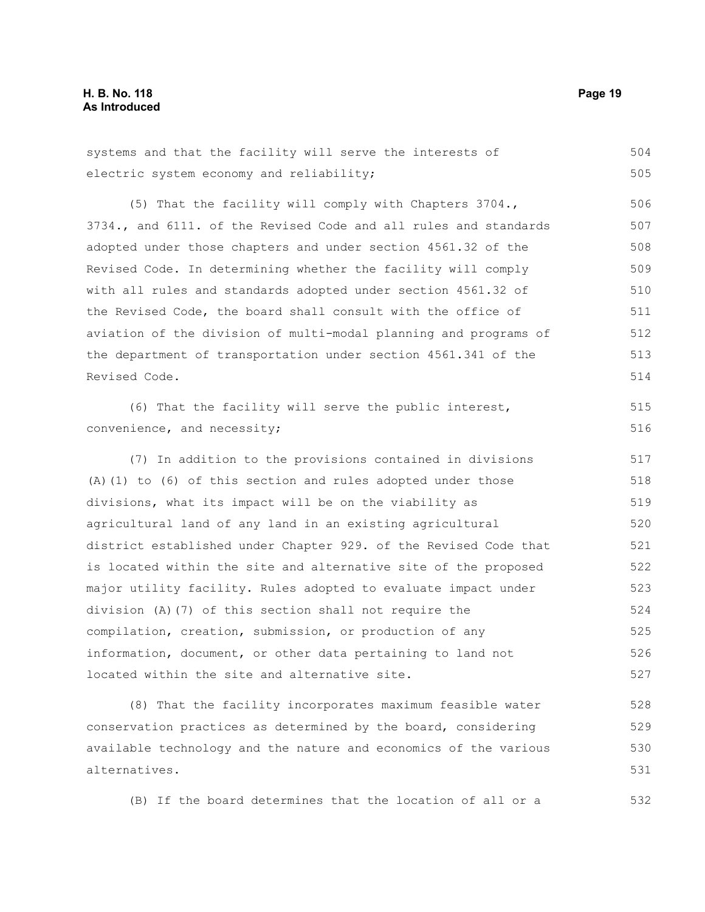systems and that the facility will serve the interests of electric system economy and reliability; (5) That the facility will comply with Chapters 3704., 3734., and 6111. of the Revised Code and all rules and standards adopted under those chapters and under section 4561.32 of the Revised Code. In determining whether the facility will comply with all rules and standards adopted under section 4561.32 of the Revised Code, the board shall consult with the office of aviation of the division of multi-modal planning and programs of the department of transportation under section 4561.341 of the Revised Code. (6) That the facility will serve the public interest, convenience, and necessity; (7) In addition to the provisions contained in divisions (A)(1) to (6) of this section and rules adopted under those divisions, what its impact will be on the viability as agricultural land of any land in an existing agricultural district established under Chapter 929. of the Revised Code that is located within the site and alternative site of the proposed major utility facility. Rules adopted to evaluate impact under division (A)(7) of this section shall not require the compilation, creation, submission, or production of any 504 505 506 507 508 509 510 511 512 513 514 515 516 517 518 519 520 521 522 523 524 525

information, document, or other data pertaining to land not located within the site and alternative site. 526 527

(8) That the facility incorporates maximum feasible water conservation practices as determined by the board, considering available technology and the nature and economics of the various alternatives. 528 529 530 531

(B) If the board determines that the location of all or a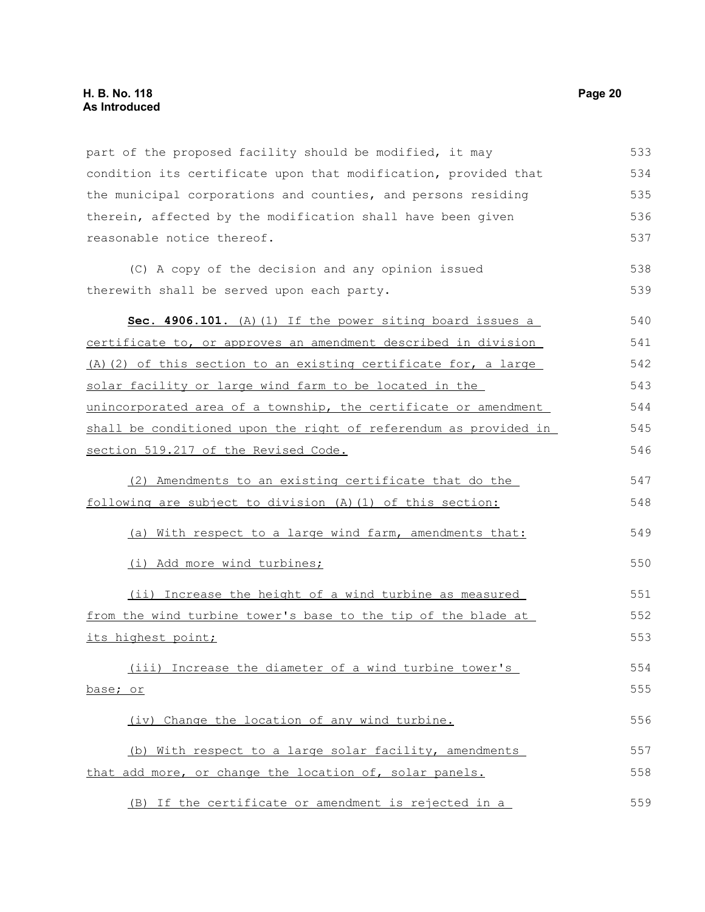part of the proposed facility should be modified, it may condition its certificate upon that modification, provided that the municipal corporations and counties, and persons residing therein, affected by the modification shall have been given reasonable notice thereof. (C) A copy of the decision and any opinion issued therewith shall be served upon each party. **Sec. 4906.101.** (A)(1) If the power siting board issues a certificate to, or approves an amendment described in division (A)(2) of this section to an existing certificate for, a large solar facility or large wind farm to be located in the unincorporated area of a township, the certificate or amendment shall be conditioned upon the right of referendum as provided in section 519.217 of the Revised Code. (2) Amendments to an existing certificate that do the following are subject to division (A)(1) of this section: (a) With respect to a large wind farm, amendments that: (i) Add more wind turbines; (ii) Increase the height of a wind turbine as measured from the wind turbine tower's base to the tip of the blade at its highest point; (iii) Increase the diameter of a wind turbine tower's base; or (iv) Change the location of any wind turbine. (b) With respect to a large solar facility, amendments that add more, or change the location of, solar panels. (B) If the certificate or amendment is rejected in a 533 534 535 536 537 538 539 540 541 542 543 544 545 546 547 548 549 550 551 552 553 554 555 556 557 558 559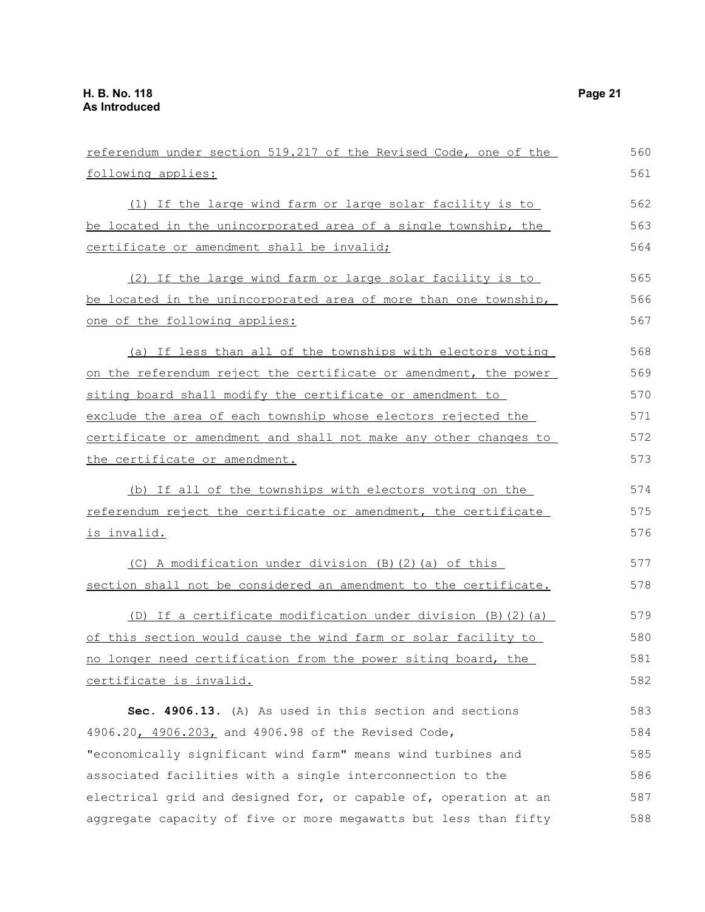| referendum under section 519.217 of the Revised Code, one of the | 560 |
|------------------------------------------------------------------|-----|
| following applies:                                               | 561 |
| (1) If the large wind farm or large solar facility is to         | 562 |
| be located in the unincorporated area of a single township, the  | 563 |
| certificate or amendment shall be invalid;                       | 564 |
| (2) If the large wind farm or large solar facility is to         | 565 |
| be located in the unincorporated area of more than one township, | 566 |
| one of the following applies:                                    | 567 |
| (a) If less than all of the townships with electors voting       | 568 |
| on the referendum reject the certificate or amendment, the power | 569 |
| siting board shall modify the certificate or amendment to        | 570 |
| exclude the area of each township whose electors rejected the    | 571 |
| certificate or amendment and shall not make any other changes to | 572 |
| the certificate or amendment.                                    | 573 |
| (b) If all of the townships with electors voting on the          | 574 |
| referendum reject the certificate or amendment, the certificate  | 575 |
| <u>is invalid.</u>                                               | 576 |
| (C) A modification under division (B) (2) (a) of this            | 577 |
| section shall not be considered an amendment to the certificate. | 578 |
| (D) If a certificate modification under division (B) (2) (a)     | 579 |
| of this section would cause the wind farm or solar facility to   | 580 |
| no longer need certification from the power siting board, the    | 581 |
| certificate is invalid.                                          | 582 |
| Sec. 4906.13. (A) As used in this section and sections           | 583 |
| 4906.20, 4906.203, and 4906.98 of the Revised Code,              | 584 |
| "economically significant wind farm" means wind turbines and     | 585 |
| associated facilities with a single interconnection to the       | 586 |
| electrical grid and designed for, or capable of, operation at an | 587 |
| aggregate capacity of five or more megawatts but less than fifty | 588 |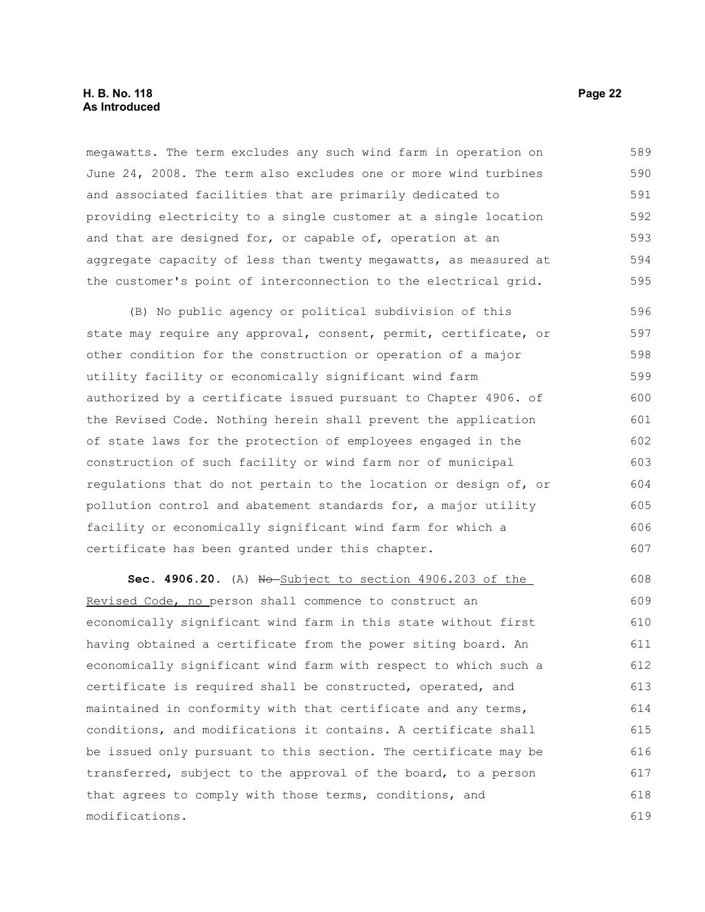### **H. B. No. 118 Page 22 As Introduced**

megawatts. The term excludes any such wind farm in operation on June 24, 2008. The term also excludes one or more wind turbines and associated facilities that are primarily dedicated to providing electricity to a single customer at a single location and that are designed for, or capable of, operation at an aggregate capacity of less than twenty megawatts, as measured at the customer's point of interconnection to the electrical grid. 589 590 591 592 593 594 595

(B) No public agency or political subdivision of this state may require any approval, consent, permit, certificate, or other condition for the construction or operation of a major utility facility or economically significant wind farm authorized by a certificate issued pursuant to Chapter 4906. of the Revised Code. Nothing herein shall prevent the application of state laws for the protection of employees engaged in the construction of such facility or wind farm nor of municipal regulations that do not pertain to the location or design of, or pollution control and abatement standards for, a major utility facility or economically significant wind farm for which a certificate has been granted under this chapter. 596 597 598 599 600 601 602 603 604 605 606 607

**Sec. 4906.20.** (A) No Subject to section 4906.203 of the Revised Code, no person shall commence to construct an economically significant wind farm in this state without first having obtained a certificate from the power siting board. An economically significant wind farm with respect to which such a certificate is required shall be constructed, operated, and maintained in conformity with that certificate and any terms, conditions, and modifications it contains. A certificate shall be issued only pursuant to this section. The certificate may be transferred, subject to the approval of the board, to a person that agrees to comply with those terms, conditions, and modifications. 608 609 610 611 612 613 614 615 616 617 618 619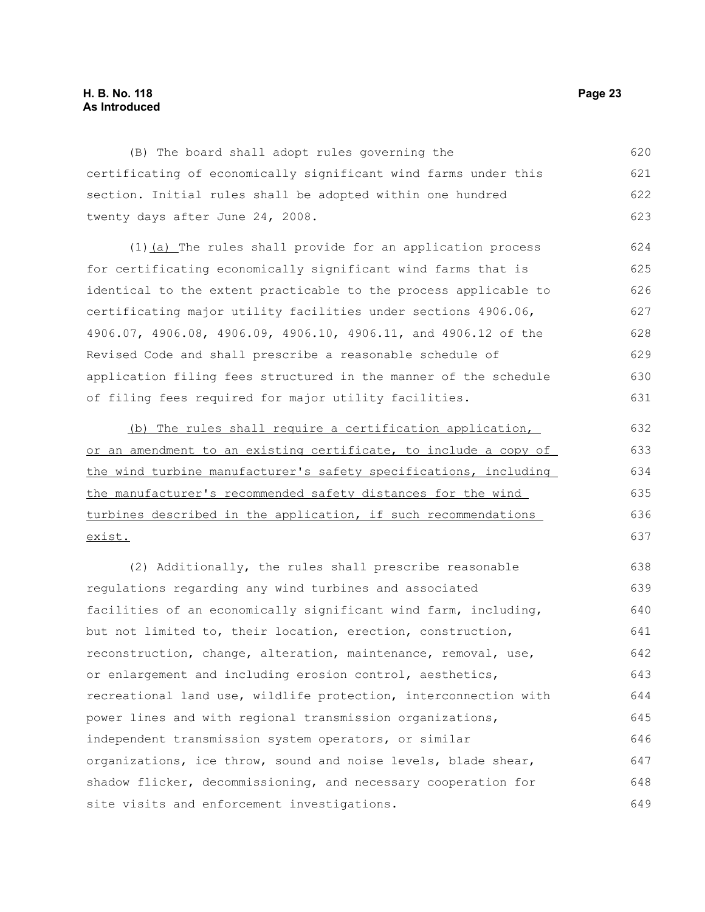### **H. B. No. 118 Page 23 As Introduced**

(B) The board shall adopt rules governing the certificating of economically significant wind farms under this section. Initial rules shall be adopted within one hundred twenty days after June 24, 2008. 620 621 622 623

(1) (a) The rules shall provide for an application process for certificating economically significant wind farms that is identical to the extent practicable to the process applicable to certificating major utility facilities under sections 4906.06, 4906.07, 4906.08, 4906.09, 4906.10, 4906.11, and 4906.12 of the Revised Code and shall prescribe a reasonable schedule of application filing fees structured in the manner of the schedule of filing fees required for major utility facilities. 624 625 626 627 628 629 630 631

(b) The rules shall require a certification application, or an amendment to an existing certificate, to include a copy of the wind turbine manufacturer's safety specifications, including the manufacturer's recommended safety distances for the wind turbines described in the application, if such recommendations exist. 632 633 634 635 636 637

(2) Additionally, the rules shall prescribe reasonable regulations regarding any wind turbines and associated facilities of an economically significant wind farm, including, but not limited to, their location, erection, construction, reconstruction, change, alteration, maintenance, removal, use, or enlargement and including erosion control, aesthetics, recreational land use, wildlife protection, interconnection with power lines and with regional transmission organizations, independent transmission system operators, or similar organizations, ice throw, sound and noise levels, blade shear, shadow flicker, decommissioning, and necessary cooperation for site visits and enforcement investigations. 638 639 640 641 642 643 644 645 646 647 648 649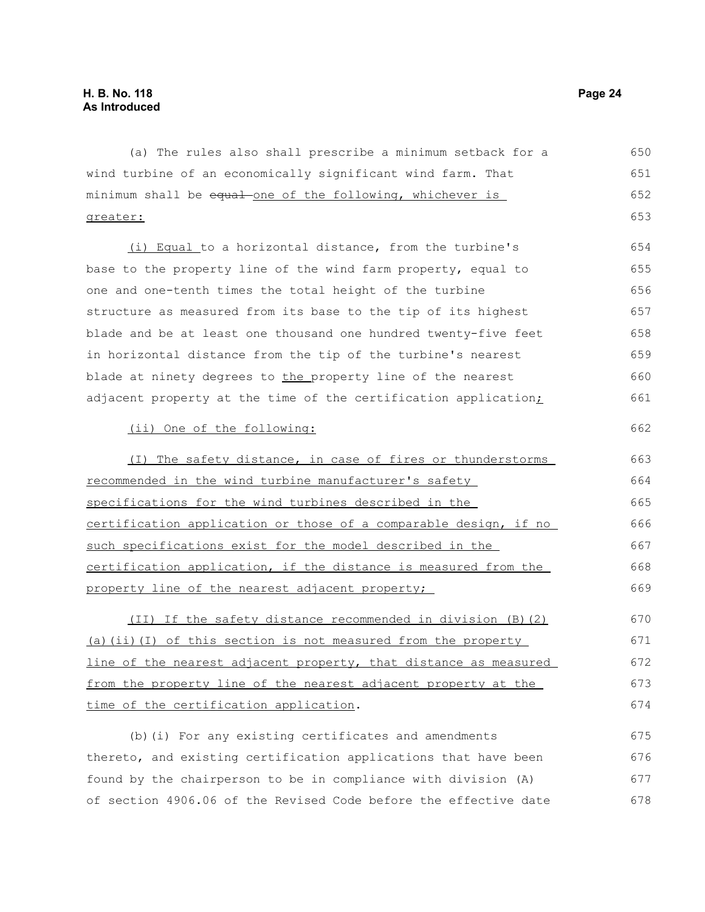| (a) The rules also shall prescribe a minimum setback for a       | 650 |
|------------------------------------------------------------------|-----|
| wind turbine of an economically significant wind farm. That      | 651 |
| minimum shall be equal one of the following, whichever is        | 652 |
| greater:                                                         | 653 |
| (i) Equal to a horizontal distance, from the turbine's           | 654 |
| base to the property line of the wind farm property, equal to    | 655 |
| one and one-tenth times the total height of the turbine          | 656 |
| structure as measured from its base to the tip of its highest    | 657 |
| blade and be at least one thousand one hundred twenty-five feet  | 658 |
| in horizontal distance from the tip of the turbine's nearest     | 659 |
| blade at ninety degrees to the property line of the nearest      | 660 |
| adjacent property at the time of the certification application;  | 661 |
| (ii) One of the following:                                       | 662 |
| (I) The safety distance, in case of fires or thunderstorms       | 663 |
| recommended in the wind turbine manufacturer's safety            | 664 |
| specifications for the wind turbines described in the            | 665 |
| certification application or those of a comparable design, if no | 666 |
| such specifications exist for the model described in the         | 667 |
| certification application, if the distance is measured from the  | 668 |
| property line of the nearest adjacent property;                  | 669 |
| (II) If the safety distance recommended in division (B) (2)      | 670 |
| (a) (ii) (I) of this section is not measured from the property   | 671 |
| line of the nearest adjacent property, that distance as measured | 672 |
| from the property line of the nearest adjacent property at the   | 673 |
| time of the certification application.                           | 674 |
| (b) (i) For any existing certificates and amendments             | 675 |
| thereto, and existing certification applications that have been  | 676 |
| found by the chairperson to be in compliance with division (A)   | 677 |
| of section 4906.06 of the Revised Code before the effective date | 678 |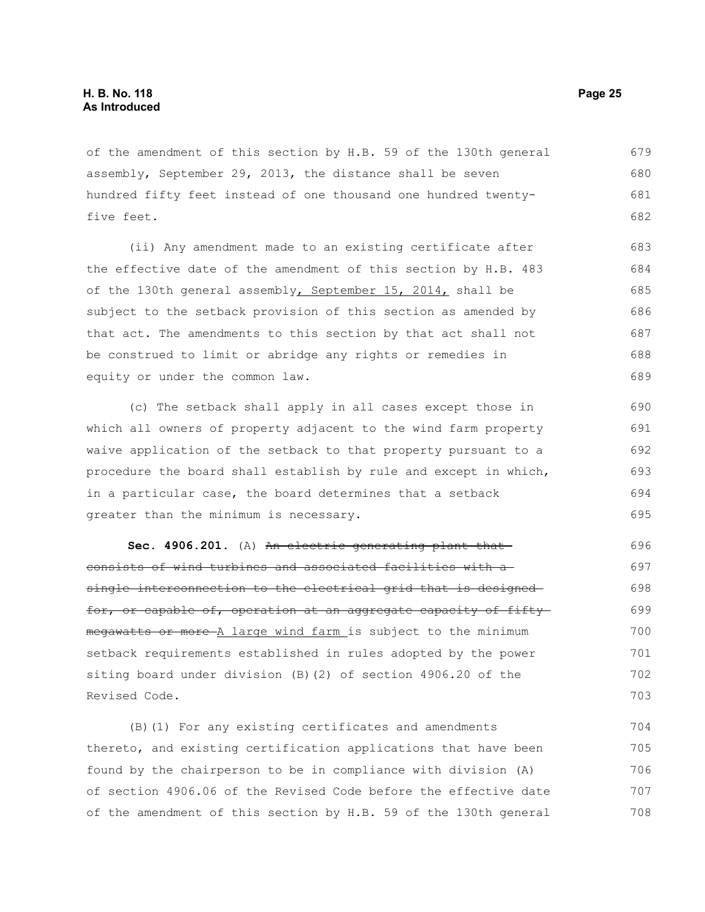of the amendment of this section by H.B. 59 of the 130th general assembly, September 29, 2013, the distance shall be seven hundred fifty feet instead of one thousand one hundred twentyfive feet. 679 680 681 682

(ii) Any amendment made to an existing certificate after the effective date of the amendment of this section by H.B. 483 of the 130th general assembly, September 15, 2014, shall be subject to the setback provision of this section as amended by that act. The amendments to this section by that act shall not be construed to limit or abridge any rights or remedies in equity or under the common law. 683 684 685 686 687 688 689

(c) The setback shall apply in all cases except those in which all owners of property adjacent to the wind farm property waive application of the setback to that property pursuant to a procedure the board shall establish by rule and except in which, in a particular case, the board determines that a setback greater than the minimum is necessary.

Sec. 4906.201. (A) An electric generating plant thatconsists of wind turbines and associated facilities with a single interconnection to the electrical grid that is designed for, or capable of, operation at an aggregate capacity of fiftymegawatts or more A large wind farm is subject to the minimum setback requirements established in rules adopted by the power siting board under division (B)(2) of section 4906.20 of the Revised Code.

(B)(1) For any existing certificates and amendments thereto, and existing certification applications that have been found by the chairperson to be in compliance with division (A) of section 4906.06 of the Revised Code before the effective date of the amendment of this section by H.B. 59 of the 130th general 704 705 706 707 708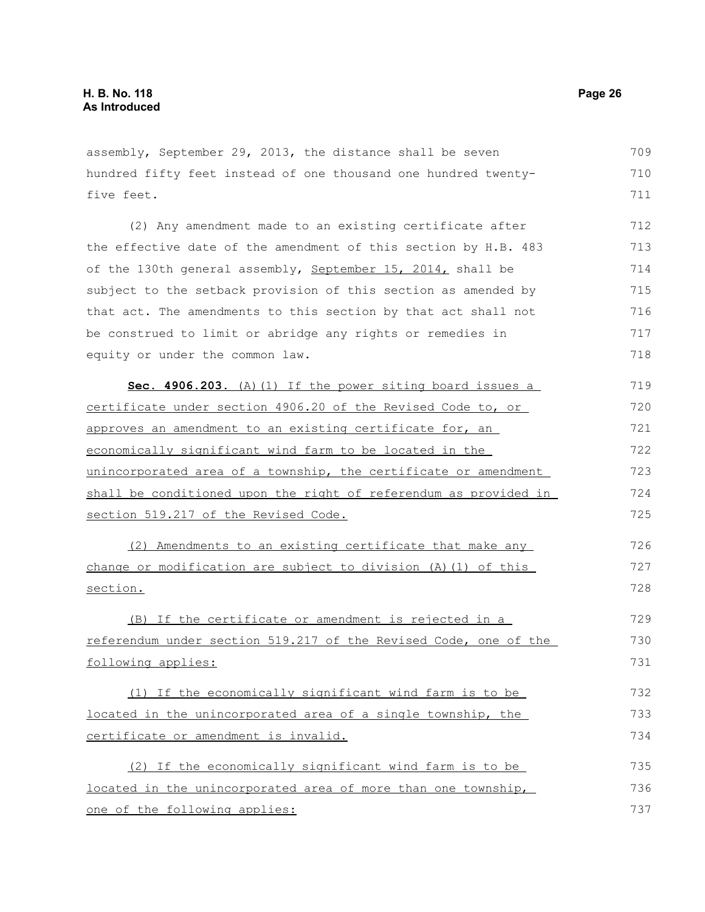assembly, September 29, 2013, the distance shall be seven hundred fifty feet instead of one thousand one hundred twentyfive feet. (2) Any amendment made to an existing certificate after the effective date of the amendment of this section by H.B. 483 of the 130th general assembly, September 15, 2014, shall be subject to the setback provision of this section as amended by that act. The amendments to this section by that act shall not be construed to limit or abridge any rights or remedies in equity or under the common law. **Sec. 4906.203.** (A)(1) If the power siting board issues a certificate under section 4906.20 of the Revised Code to, or approves an amendment to an existing certificate for, an economically significant wind farm to be located in the unincorporated area of a township, the certificate or amendment shall be conditioned upon the right of referendum as provided in section 519.217 of the Revised Code. (2) Amendments to an existing certificate that make any change or modification are subject to division (A)(1) of this section. (B) If the certificate or amendment is rejected in a referendum under section 519.217 of the Revised Code, one of the following applies: (1) If the economically significant wind farm is to be located in the unincorporated area of a single township, the certificate or amendment is invalid. (2) If the economically significant wind farm is to be located in the unincorporated area of more than one township, 709 710 711 712 713 714 715 716 717 718 719 720 721 722 723 724 725 726 727 728 729 730 731 732 733 734 735 736

one of the following applies: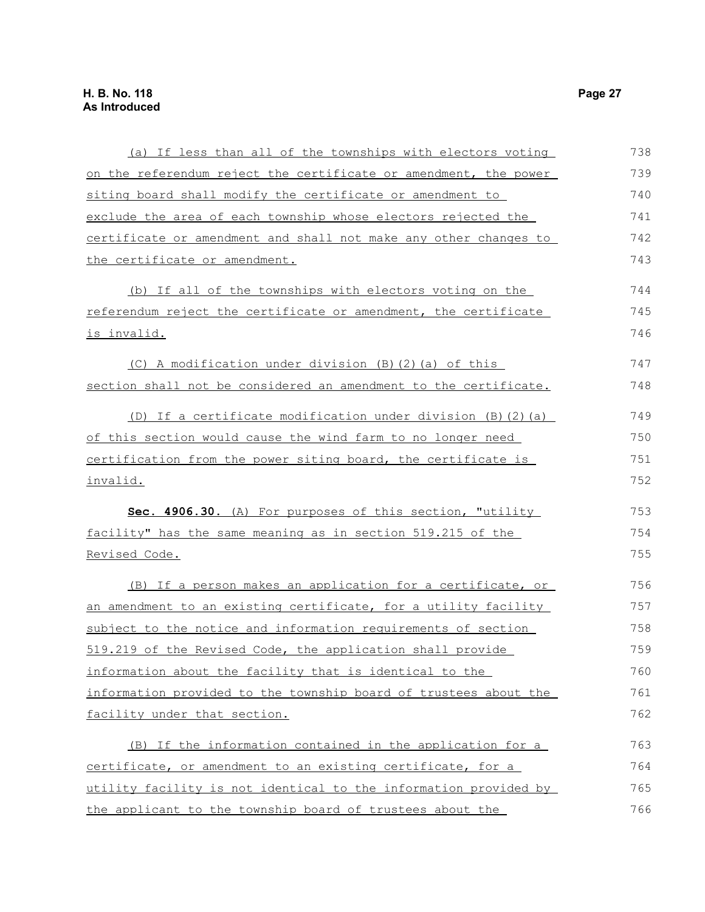| (a) If less than all of the townships with electors voting       | 738 |
|------------------------------------------------------------------|-----|
| on the referendum reject the certificate or amendment, the power | 739 |
| siting board shall modify the certificate or amendment to        | 740 |
| exclude the area of each township whose electors rejected the    | 741 |
| certificate or amendment and shall not make any other changes to | 742 |
| the certificate or amendment.                                    | 743 |
| (b) If all of the townships with electors voting on the          | 744 |
| referendum reject the certificate or amendment, the certificate  | 745 |
| <u>is invalid.</u>                                               | 746 |
| (C) A modification under division (B) (2) (a) of this            | 747 |
| section shall not be considered an amendment to the certificate. | 748 |
| (D) If a certificate modification under division (B) (2) (a)     | 749 |
| of this section would cause the wind farm to no longer need      | 750 |
| certification from the power siting board, the certificate is    | 751 |
| invalid.                                                         | 752 |
| Sec. 4906.30. (A) For purposes of this section, "utility         | 753 |
| facility" has the same meaning as in section 519.215 of the      | 754 |
| <u>Revised Code.</u>                                             | 755 |
| (B) If a person makes an application for a certificate, or       | 756 |
| an amendment to an existing certificate, for a utility facility  | 757 |
| subject to the notice and information requirements of section    | 758 |
| 519.219 of the Revised Code, the application shall provide       | 759 |
| information about the facility that is identical to the          | 760 |
| information provided to the township board of trustees about the | 761 |
| facility under that section.                                     | 762 |
| (B) If the information contained in the application for a        | 763 |
| certificate, or amendment to an existing certificate, for a      | 764 |
| utility facility is not identical to the information provided by | 765 |
| the applicant to the township board of trustees about the        | 766 |